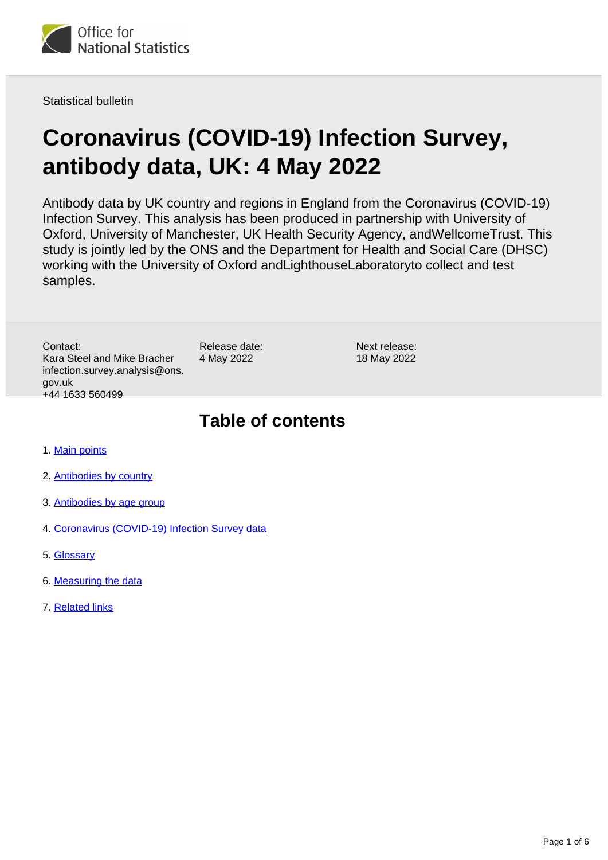

Statistical bulletin

# **Coronavirus (COVID-19) Infection Survey, antibody data, UK: 4 May 2022**

Antibody data by UK country and regions in England from the Coronavirus (COVID-19) Infection Survey. This analysis has been produced in partnership with University of Oxford, University of Manchester, UK Health Security Agency, andWellcomeTrust. This study is jointly led by the ONS and the Department for Health and Social Care (DHSC) working with the University of Oxford andLighthouseLaboratoryto collect and test samples.

Contact: Kara Steel and Mike Bracher infection.survey.analysis@ons. gov.uk +44 1633 560499

Release date: 4 May 2022

Next release: 18 May 2022

### **Table of contents**

- 1. [Main points](#page-1-0)
- 2. [Antibodies by country](#page-1-1)
- 3. [Antibodies by age group](#page-2-0)
- 4. [Coronavirus \(COVID-19\) Infection Survey data](#page-3-0)
- 5. [Glossary](#page-3-1)
- 6. [Measuring the data](#page-3-2)
- 7. [Related links](#page-5-0)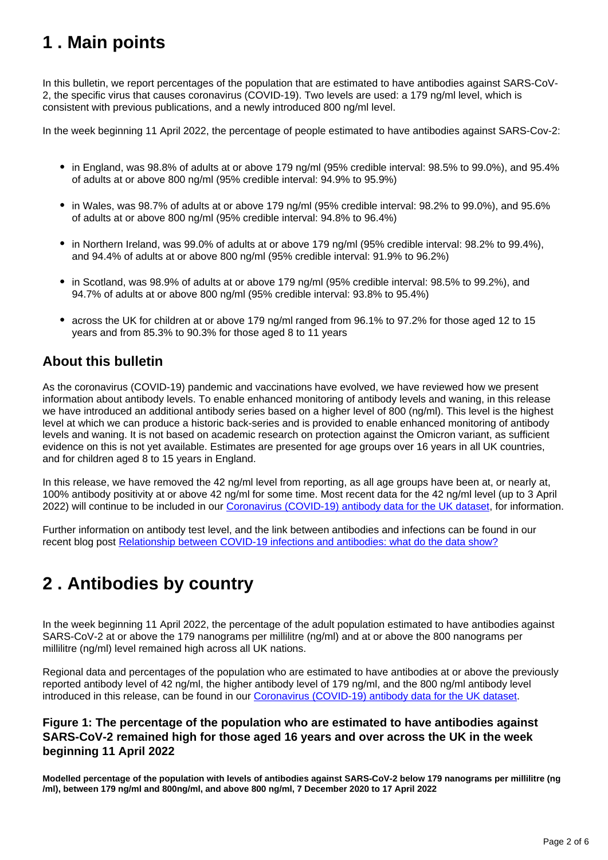## <span id="page-1-0"></span>**1 . Main points**

In this bulletin, we report percentages of the population that are estimated to have antibodies against SARS-CoV-2, the specific virus that causes coronavirus (COVID-19). Two levels are used: a 179 ng/ml level, which is consistent with previous publications, and a newly introduced 800 ng/ml level.

In the week beginning 11 April 2022, the percentage of people estimated to have antibodies against SARS-Cov-2:

- in England, was 98.8% of adults at or above 179 ng/ml (95% credible interval: 98.5% to 99.0%), and 95.4% of adults at or above 800 ng/ml (95% credible interval: 94.9% to 95.9%)
- in Wales, was 98.7% of adults at or above 179 ng/ml (95% credible interval: 98.2% to 99.0%), and 95.6% of adults at or above 800 ng/ml (95% credible interval: 94.8% to 96.4%)
- in Northern Ireland, was 99.0% of adults at or above 179 ng/ml (95% credible interval: 98.2% to 99.4%), and 94.4% of adults at or above 800 ng/ml (95% credible interval: 91.9% to 96.2%)
- in Scotland, was 98.9% of adults at or above 179 ng/ml (95% credible interval: 98.5% to 99.2%), and 94.7% of adults at or above 800 ng/ml (95% credible interval: 93.8% to 95.4%)
- across the UK for children at or above 179 ng/ml ranged from 96.1% to 97.2% for those aged 12 to 15 years and from 85.3% to 90.3% for those aged 8 to 11 years

### **About this bulletin**

As the coronavirus (COVID-19) pandemic and vaccinations have evolved, we have reviewed how we present information about antibody levels. To enable enhanced monitoring of antibody levels and waning, in this release we have introduced an additional antibody series based on a higher level of 800 (ng/ml). This level is the highest level at which we can produce a historic back-series and is provided to enable enhanced monitoring of antibody levels and waning. It is not based on academic research on protection against the Omicron variant, as sufficient evidence on this is not yet available. Estimates are presented for age groups over 16 years in all UK countries, and for children aged 8 to 15 years in England.

In this release, we have removed the 42 ng/ml level from reporting, as all age groups have been at, or nearly at, 100% antibody positivity at or above 42 ng/ml for some time. Most recent data for the 42 ng/ml level (up to 3 April 2022) will continue to be included in our [Coronavirus \(COVID-19\) antibody data for the UK dataset,](https://www.ons.gov.uk/peoplepopulationandcommunity/healthandsocialcare/conditionsanddiseases/datasets/coronaviruscovid19antibodydatafortheuk) for information.

Further information on antibody test level, and the link between antibodies and infections can be found in our recent blog post [Relationship between COVID-19 infections and antibodies: what do the data show?](https://blog.ons.gov.uk/2022/04/06/the-relationship-between-covid-19-infections-and-antibodies-what-do-the-data-show/)

## <span id="page-1-1"></span>**2 . Antibodies by country**

In the week beginning 11 April 2022, the percentage of the adult population estimated to have antibodies against SARS-CoV-2 at or above the 179 nanograms per millilitre (ng/ml) and at or above the 800 nanograms per millilitre (ng/ml) level remained high across all UK nations.

Regional data and percentages of the population who are estimated to have antibodies at or above the previously reported antibody level of 42 ng/ml, the higher antibody level of 179 ng/ml, and the 800 ng/ml antibody level introduced in this release, can be found in our [Coronavirus \(COVID-19\) antibody data for the UK dataset](https://www.ons.gov.uk/peoplepopulationandcommunity/healthandsocialcare/conditionsanddiseases/datasets/coronaviruscovid19antibodydatafortheuk).

#### **Figure 1: The percentage of the population who are estimated to have antibodies against SARS-CoV-2 remained high for those aged 16 years and over across the UK in the week beginning 11 April 2022**

**Modelled percentage of the population with levels of antibodies against SARS-CoV-2 below 179 nanograms per millilitre (ng /ml), between 179 ng/ml and 800ng/ml, and above 800 ng/ml, 7 December 2020 to 17 April 2022**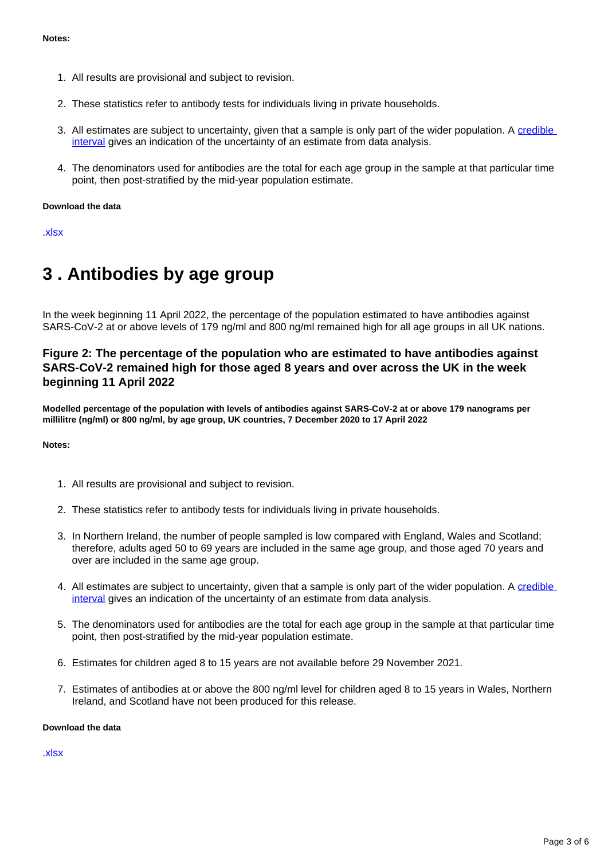- 1. All results are provisional and subject to revision.
- 2. These statistics refer to antibody tests for individuals living in private households.
- 3. All estimates are subject to uncertainty, given that a sample is only part of the wider population. A credible [interval](https://www.ons.gov.uk/peoplepopulationandcommunity/healthandsocialcare/conditionsanddiseases/bulletins/coronaviruscovid19infectionsurveyantibodyandvaccinationdatafortheuk/latest#glossary) gives an indication of the uncertainty of an estimate from data analysis.
- 4. The denominators used for antibodies are the total for each age group in the sample at that particular time point, then post-stratified by the mid-year population estimate.

#### **Download the data**

[.xlsx](https://www.ons.gov.uk/visualisations/dvc1940/fig1/datadownload.xlsx)

### <span id="page-2-0"></span>**3 . Antibodies by age group**

In the week beginning 11 April 2022, the percentage of the population estimated to have antibodies against SARS-CoV-2 at or above levels of 179 ng/ml and 800 ng/ml remained high for all age groups in all UK nations.

#### **Figure 2: The percentage of the population who are estimated to have antibodies against SARS-CoV-2 remained high for those aged 8 years and over across the UK in the week beginning 11 April 2022**

**Modelled percentage of the population with levels of antibodies against SARS-CoV-2 at or above 179 nanograms per millilitre (ng/ml) or 800 ng/ml, by age group, UK countries, 7 December 2020 to 17 April 2022**

#### **Notes:**

- 1. All results are provisional and subject to revision.
- 2. These statistics refer to antibody tests for individuals living in private households.
- 3. In Northern Ireland, the number of people sampled is low compared with England, Wales and Scotland; therefore, adults aged 50 to 69 years are included in the same age group, and those aged 70 years and over are included in the same age group.
- 4. All estimates are subject to uncertainty, given that a sample is only part of the wider population. A credible [interval](https://www.ons.gov.uk/peoplepopulationandcommunity/healthandsocialcare/conditionsanddiseases/bulletins/coronaviruscovid19infectionsurveyantibodyandvaccinationdatafortheuk/latest#glossary) gives an indication of the uncertainty of an estimate from data analysis.
- 5. The denominators used for antibodies are the total for each age group in the sample at that particular time point, then post-stratified by the mid-year population estimate.
- 6. Estimates for children aged 8 to 15 years are not available before 29 November 2021.
- 7. Estimates of antibodies at or above the 800 ng/ml level for children aged 8 to 15 years in Wales, Northern Ireland, and Scotland have not been produced for this release.

#### **Download the data**

[.xlsx](https://www.ons.gov.uk/visualisations/dvc1940/fig2/datadownload.xlsx)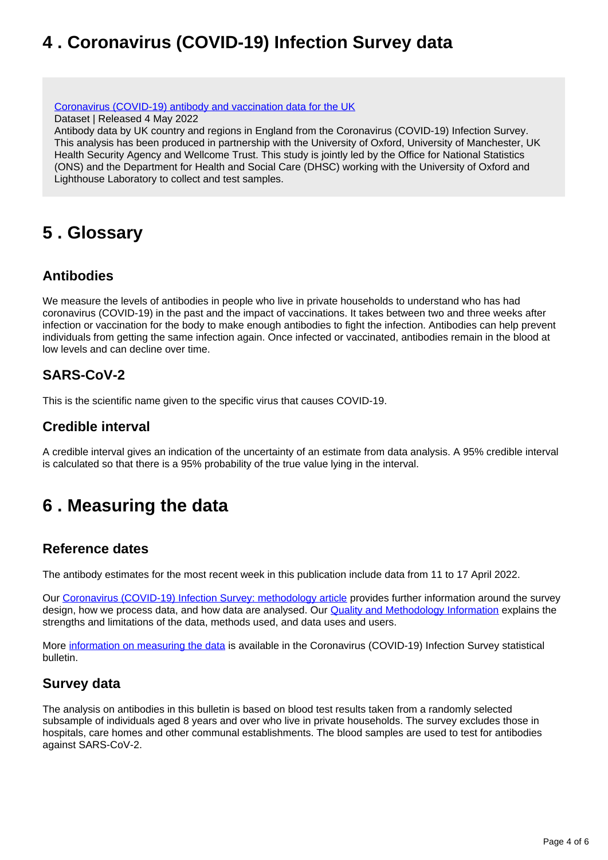## <span id="page-3-0"></span>**4 . Coronavirus (COVID-19) Infection Survey data**

[Coronavirus \(COVID-19\) antibody and vaccination data for the UK](https://www.ons.gov.uk/peoplepopulationandcommunity/healthandsocialcare/conditionsanddiseases/datasets/coronaviruscovid19antibodydatafortheuk)

Dataset | Released 4 May 2022

Antibody data by UK country and regions in England from the Coronavirus (COVID-19) Infection Survey. This analysis has been produced in partnership with the University of Oxford, University of Manchester, UK Health Security Agency and Wellcome Trust. This study is jointly led by the Office for National Statistics (ONS) and the Department for Health and Social Care (DHSC) working with the University of Oxford and Lighthouse Laboratory to collect and test samples.

## <span id="page-3-1"></span>**5 . Glossary**

### **Antibodies**

We measure the levels of antibodies in people who live in private households to understand who has had coronavirus (COVID-19) in the past and the impact of vaccinations. It takes between two and three weeks after infection or vaccination for the body to make enough antibodies to fight the infection. Antibodies can help prevent individuals from getting the same infection again. Once infected or vaccinated, antibodies remain in the blood at low levels and can decline over time.

### **SARS-CoV-2**

This is the scientific name given to the specific virus that causes COVID-19.

#### **Credible interval**

A credible interval gives an indication of the uncertainty of an estimate from data analysis. A 95% credible interval is calculated so that there is a 95% probability of the true value lying in the interval.

## <span id="page-3-2"></span>**6 . Measuring the data**

#### **Reference dates**

The antibody estimates for the most recent week in this publication include data from 11 to 17 April 2022.

Our [Coronavirus \(COVID-19\) Infection Survey: methodology article](https://www.ons.gov.uk/peoplepopulationandcommunity/healthandsocialcare/conditionsanddiseases/methodologies/covid19infectionsurveypilotmethodsandfurtherinformation) provides further information around the survey design, how we process data, and how data are analysed. Our [Quality and Methodology Information](https://www.ons.gov.uk/peoplepopulationandcommunity/healthandsocialcare/conditionsanddiseases/methodologies/coronaviruscovid19infectionsurveyqmi) explains the strengths and limitations of the data, methods used, and data uses and users.

More [information on measuring the data](https://www.ons.gov.uk/peoplepopulationandcommunity/healthandsocialcare/conditionsanddiseases/bulletins/coronaviruscovid19infectionsurveypilot/latest#measuring-the-data) is available in the Coronavirus (COVID-19) Infection Survey statistical bulletin.

### **Survey data**

The analysis on antibodies in this bulletin is based on blood test results taken from a randomly selected subsample of individuals aged 8 years and over who live in private households. The survey excludes those in hospitals, care homes and other communal establishments. The blood samples are used to test for antibodies against SARS-CoV-2.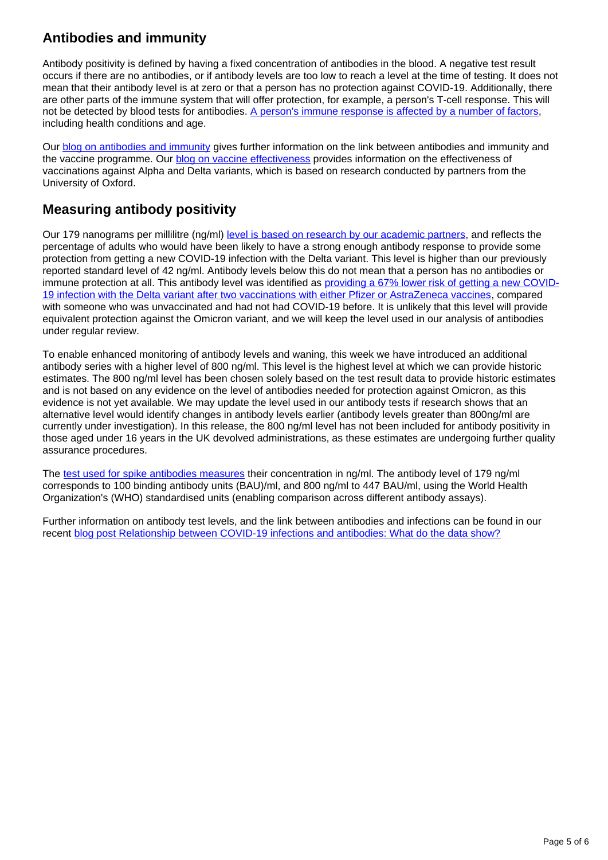### **Antibodies and immunity**

Antibody positivity is defined by having a fixed concentration of antibodies in the blood. A negative test result occurs if there are no antibodies, or if antibody levels are too low to reach a level at the time of testing. It does not mean that their antibody level is at zero or that a person has no protection against COVID-19. Additionally, there are other parts of the immune system that will offer protection, for example, a person's T-cell response. This will not be detected by blood tests for antibodies. [A person's immune response is affected by a number of factors,](https://www.immunology.org/news/ageing-and-covid-19-what-do-we-know-so-far) including health conditions and age.

Our **blog on antibodies and immunity** gives further information on the link between antibodies and immunity and the vaccine programme. Our **blog on vaccine effectiveness** provides information on the effectiveness of vaccinations against Alpha and Delta variants, which is based on research conducted by partners from the University of Oxford.

### **Measuring antibody positivity**

Our 179 nanograms per millilitre (ng/ml) [level is based on research by our academic partners](https://www.medrxiv.org/content/10.1101/2021.09.13.21263487v2), and reflects the percentage of adults who would have been likely to have a strong enough antibody response to provide some protection from getting a new COVID-19 infection with the Delta variant. This level is higher than our previously reported standard level of 42 ng/ml. Antibody levels below this do not mean that a person has no antibodies or immune protection at all. This antibody level was identified as [providing a 67% lower risk of getting a new COVID-](https://www.medrxiv.org/content/10.1101/2021.09.13.21263487v2)[19 infection with the Delta variant after two vaccinations with either Pfizer or AstraZeneca vaccines](https://www.medrxiv.org/content/10.1101/2021.09.13.21263487v2), compared with someone who was unvaccinated and had not had COVID-19 before. It is unlikely that this level will provide equivalent protection against the Omicron variant, and we will keep the level used in our analysis of antibodies under regular review.

To enable enhanced monitoring of antibody levels and waning, this week we have introduced an additional antibody series with a higher level of 800 ng/ml. This level is the highest level at which we can provide historic estimates. The 800 ng/ml level has been chosen solely based on the test result data to provide historic estimates and is not based on any evidence on the level of antibodies needed for protection against Omicron, as this evidence is not yet available. We may update the level used in our antibody tests if research shows that an alternative level would identify changes in antibody levels earlier (antibody levels greater than 800ng/ml are currently under investigation). In this release, the 800 ng/ml level has not been included for antibody positivity in those aged under 16 years in the UK devolved administrations, as these estimates are undergoing further quality assurance procedures.

The [test used for spike antibodies measures](https://www.thelancet.com/journals/lanmic/article/PIIS2666-5247(21)00266-4/fulltext) their concentration in ng/ml. The antibody level of 179 ng/ml corresponds to 100 binding antibody units (BAU)/ml, and 800 ng/ml to 447 BAU/ml, using the World Health Organization's (WHO) standardised units (enabling comparison across different antibody assays).

Further information on antibody test levels, and the link between antibodies and infections can be found in our recent [blog post Relationship between COVID-19 infections and antibodies: What do the data show?](https://blog.ons.gov.uk/2022/04/06/the-relationship-between-covid-19-infections-and-antibodies-what-do-the-data-show/)